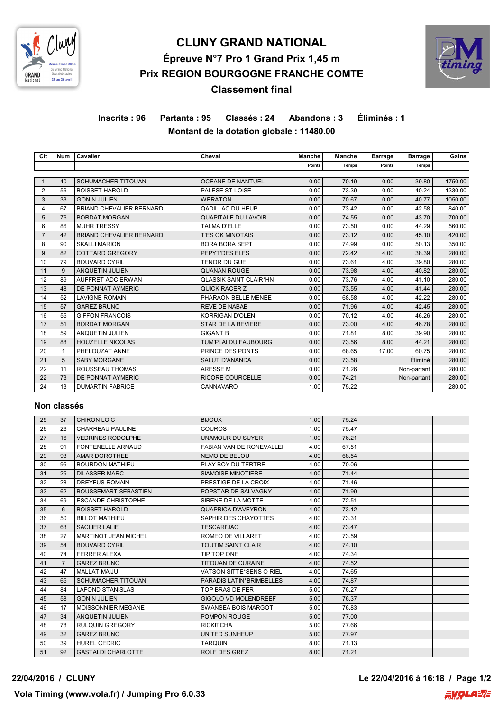

# **CLUNY GRAND NATIONAL Épreuve N°7 Pro 1 Grand Prix 1,45 m Prix REGION BOURGOGNE FRANCHE COMTE Classement final**



# **Inscrits : 96 Partants : 95 Classés : 24 Abandons : 3 Éliminés : 1 Montant de la dotation globale : 11480.00**

| Clt            | <b>Num</b> | Cavalier                        | Cheval                        | <b>Manche</b> | Manche       | <b>Barrage</b> | <b>Barrage</b> | Gains   |
|----------------|------------|---------------------------------|-------------------------------|---------------|--------------|----------------|----------------|---------|
|                |            |                                 |                               | Points        | <b>Temps</b> | Points         | <b>Temps</b>   |         |
|                |            |                                 |                               |               |              |                |                |         |
|                | 40         | <b>SCHUMACHER TITOUAN</b>       | <b>OCEANE DE NANTUEL</b>      | 0.00          | 70.19        | 0.00           | 39.80          | 1750.00 |
| $\overline{2}$ | 56         | <b>BOISSET HAROLD</b>           | PALESE ST LOISE               | 0.00          | 73.39        | 0.00           | 40.24          | 1330.00 |
| 3              | 33         | <b>GONIN JULIEN</b>             | <b>WERATON</b>                | 0.00          | 70.67        | 0.00           | 40.77          | 1050.00 |
| 4              | 67         | <b>BRIAND CHEVALIER BERNARD</b> | QADILLAC DU HEUP              | 0.00          | 73.42        | 0.00           | 42.58          | 840.00  |
| 5              | 76         | <b>BORDAT MORGAN</b>            | <b>QUAPITALE DU LAVOIR</b>    | 0.00          | 74.55        | 0.00           | 43.70          | 700.00  |
| 6              | 86         | <b>MUHR TRESSY</b>              | <b>TALMA D'ELLE</b>           | 0.00          | 73.50        | 0.00           | 44.29          | 560.00  |
| $\overline{7}$ | 42         | BRIAND CHEVALIER BERNARD        | <b>T'ES OK MINOTAIS</b>       | 0.00          | 73.12        | 0.00           | 45.10          | 420.00  |
| 8              | 90         | <b>SKALLI MARION</b>            | <b>BORA BORA SEPT</b>         | 0.00          | 74.99        | 0.00           | 50.13          | 350.00  |
| 9              | 82         | <b>COTTARD GREGORY</b>          | PEPYT'DES ELFS                | 0.00          | 72.42        | 4.00           | 38.39          | 280.00  |
| 10             | 79         | <b>BOUVARD CYRIL</b>            | <b>TENOR DU GUE</b>           | 0.00          | 73.61        | 4.00           | 39.80          | 280.00  |
| 11             | 9          | <b>ANQUETIN JULIEN</b>          | <b>QUANAN ROUGE</b>           | 0.00          | 73.98        | 4.00           | 40.82          | 280.00  |
| 12             | 89         | AUFFRET ADC ERWAN               | <b>QLASSIK SAINT CLAIR*HN</b> | 0.00          | 73.76        | 4.00           | 41.10          | 280.00  |
| 13             | 48         | DE PONNAT AYMERIC               | QUICK RACER Z                 | 0.00          | 73.55        | 4.00           | 41.44          | 280.00  |
| 14             | 52         | <b>LAVIGNE ROMAIN</b>           | PHARAON BELLE MENEE           | 0.00          | 68.58        | 4.00           | 42.22          | 280.00  |
| 15             | 57         | <b>GAREZ BRUNO</b>              | <b>REVE DE NABAB</b>          | 0.00          | 71.96        | 4.00           | 42.45          | 280.00  |
| 16             | 55         | <b>GIFFON FRANCOIS</b>          | <b>KORRIGAN D'OLEN</b>        | 0.00          | 70.12        | 4.00           | 46.26          | 280.00  |
| 17             | 51         | <b>BORDAT MORGAN</b>            | STAR DE LA BEVIERE            | 0.00          | 73.00        | 4.00           | 46.78          | 280.00  |
| 18             | 59         | <b>ANQUETIN JULIEN</b>          | <b>GIGANT B</b>               | 0.00          | 71.81        | 8.00           | 39.90          | 280.00  |
| 19             | 88         | <b>HOUZELLE NICOLAS</b>         | TUM'PLAI DU FAUBOURG          | 0.00          | 73.56        | 8.00           | 44.21          | 280.00  |
| 20             |            | PHELOUZAT ANNE                  | PRINCE DES PONTS              | 0.00          | 68.65        | 17.00          | 60.75          | 280.00  |
| 21             | 5          | <b>SABY MORGANE</b>             | <b>SALUT D'ANANDA</b>         | 0.00          | 73.58        |                | Éliminé        | 280.00  |
| 22             | 11         | ROUSSEAU THOMAS                 | <b>ARESSEM</b>                | 0.00          | 71.26        |                | Non-partant    | 280.00  |
| 22             | 73         | DE PONNAT AYMERIC               | <b>RICORE COURCELLE</b>       | 0.00          | 74.21        |                | Non-partant    | 280.00  |
| 24             | 13         | <b>DUMARTIN FABRICE</b>         | CANNAVARO                     | 1.00          | 75.22        |                |                | 280.00  |

#### **Non classés**

| 25 | 37             | <b>CHIRON LOIC</b>          | <b>BIJOUX</b>                   | 1.00 | 75.24 |  |  |
|----|----------------|-----------------------------|---------------------------------|------|-------|--|--|
| 26 | 26             | CHARREAU PAULINE            | <b>COUROS</b>                   | 1.00 | 75.47 |  |  |
| 27 | 16             | <b>VEDRINES RODOLPHE</b>    | <b>UNAMOUR DU SUYER</b>         | 1.00 | 76.21 |  |  |
| 28 | 91             | <b>FONTENELLE ARNAUD</b>    | <b>FABIAN VAN DE RONEVALLEI</b> | 4.00 | 67.51 |  |  |
| 29 | 93             | AMAR DOROTHEE               | NEMO DE BELOU                   | 4.00 | 68.54 |  |  |
| 30 | 95             | <b>BOURDON MATHIEU</b>      | PLAY BOY DU TERTRE              | 4.00 | 70.06 |  |  |
| 31 | 25             | <b>DILASSER MARC</b>        | SIAMOISE MINOTIERE              | 4.00 | 71.44 |  |  |
| 32 | 28             | DREYFUS ROMAIN              | PRESTIGE DE LA CROIX            | 4.00 | 71.46 |  |  |
| 33 | 62             | <b>BOUSSEMART SEBASTIEN</b> | POPSTAR DE SALVAGNY             | 4.00 | 71.99 |  |  |
| 34 | 69             | <b>ESCANDE CHRISTOPHE</b>   | SIRENE DE LA MOTTE              | 4.00 | 72.51 |  |  |
| 35 | 6              | <b>BOISSET HAROLD</b>       | <b>QUAPRICA D'AVEYRON</b>       | 4.00 | 73.12 |  |  |
| 36 | 50             | <b>BILLOT MATHIEU</b>       | SAPHIR DES CHAYOTTES            | 4.00 | 73.31 |  |  |
| 37 | 63             | <b>SACLIER LALIE</b>        | <b>TESCARI'JAC</b>              | 4.00 | 73.47 |  |  |
| 38 | 27             | <b>MARTINOT JEAN MICHEL</b> | ROMEO DE VILLARET               | 4.00 | 73.59 |  |  |
| 39 | 54             | <b>BOUVARD CYRIL</b>        | <b>TOUTIM SAINT CLAIR</b>       | 4.00 | 74.10 |  |  |
| 40 | 74             | <b>FERRER ALEXA</b>         | TIP TOP ONE                     | 4.00 | 74.34 |  |  |
| 41 | $\overline{7}$ | <b>GAREZ BRUNO</b>          | <b>TITOUAN DE CURAINE</b>       | 4.00 | 74.52 |  |  |
| 42 | 47             | <b>MALLAT MAIJU</b>         | VATSON SITTE*SENS O RIEL        | 4.00 | 74.65 |  |  |
| 43 | 65             | <b>SCHUMACHER TITOUAN</b>   | PARADIS LATIN*BRIMBELLES        | 4.00 | 74.87 |  |  |
| 44 | 84             | <b>LAFOND STANISLAS</b>     | TOP BRAS DE FER                 | 5.00 | 76.27 |  |  |
| 45 | 58             | <b>GONIN JULIEN</b>         | <b>GIGOLO VD MOLENDREEF</b>     | 5.00 | 76.37 |  |  |
| 46 | 17             | MOISSONNIER MEGANE          | SWANSEA BOIS MARGOT             | 5.00 | 76.83 |  |  |
| 47 | 34             | <b>ANQUETIN JULIEN</b>      | POMPON ROUGE                    | 5.00 | 77.00 |  |  |
| 48 | 78             | <b>RULQUIN GREGORY</b>      | <b>RICKITCHA</b>                | 5.00 | 77.66 |  |  |
| 49 | 32             | <b>GAREZ BRUNO</b>          | UNITED SUNHEUP                  | 5.00 | 77.97 |  |  |
| 50 | 39             | <b>HUREL CEDRIC</b>         | <b>TAROUIN</b>                  | 8.00 | 71.13 |  |  |
| 51 | 92             | <b>GASTALDI CHARLOTTE</b>   | <b>ROLF DES GREZ</b>            | 8.00 | 71.21 |  |  |

**22/04/2016 / CLUNY Le 22/04/2016 à 16:18 / Page 1/2**